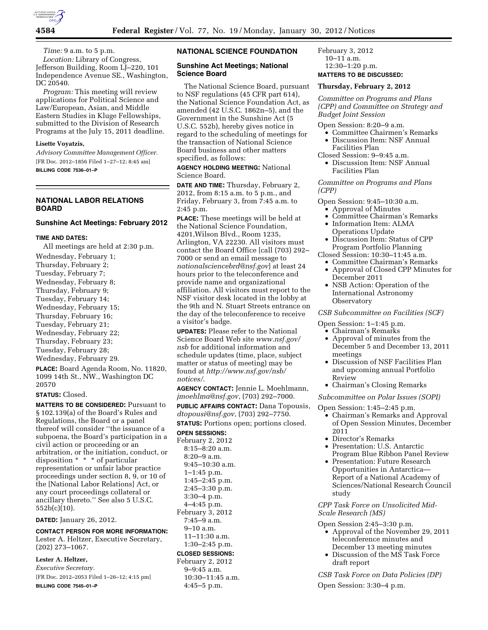

*Time:* 9 a.m. to 5 p.m.

*Location:* Library of Congress, Jefferson Building, Room LJ–220, 101 Independence Avenue SE., Washington, DC 20540.

*Program:* This meeting will review applications for Political Science and Law/European, Asian, and Middle Eastern Studies in Kluge Fellowships, submitted to the Division of Research Programs at the July 15, 2011 deadline.

#### **Lisette Voyatzis,**

*Advisory Committee Management Officer.*  [FR Doc. 2012–1856 Filed 1–27–12; 8:45 am] **BILLING CODE 7536–01–P** 

# **NATIONAL LABOR RELATIONS BOARD**

# **Sunshine Act Meetings: February 2012**

#### **TIME AND DATES:**

All meetings are held at 2:30 p.m.

Wednesday, February 1; Thursday, February 2; Tuesday, February 7; Wednesday, February 8; Thursday, February 9; Tuesday, February 14; Wednesday, February 15; Thursday, February 16; Tuesday, February 21; Wednesday, February 22; Thursday, February 23; Tuesday, February 28; Wednesday, February 29.

**PLACE:** Board Agenda Room, No. 11820, 1099 14th St., NW., Washington DC 20570

### **STATUS:** Closed.

**MATTERS TO BE CONSIDERED:** Pursuant to § 102.139(a) of the Board's Rules and Regulations, the Board or a panel thereof will consider ''the issuance of a subpoena, the Board's participation in a civil action or proceeding or an arbitration, or the initiation, conduct, or disposition \* \* \* of particular representation or unfair labor practice proceedings under section 8, 9, or 10 of the [National Labor Relations] Act, or any court proceedings collateral or ancillary thereto.'' See also 5 U.S.C. 552b(c)(10).

**DATED:** January 26, 2012.

**CONTACT PERSON FOR MORE INFORMATION:**  Lester A. Heltzer, Executive Secretary, (202) 273–1067.

# **Lester A. Heltzer,**

*Executive Secretary.*  [FR Doc. 2012–2053 Filed 1–26–12; 4:15 pm] **BILLING CODE 7545–01–P** 

# **NATIONAL SCIENCE FOUNDATION**

#### **Sunshine Act Meetings; National Science Board**

The National Science Board, pursuant to NSF regulations (45 CFR part 614), the National Science Foundation Act, as amended (42 U.S.C. 1862n–5), and the Government in the Sunshine Act (5 U.S.C. 552b), hereby gives notice in regard to the scheduling of meetings for the transaction of National Science Board business and other matters specified, as follows:

### **AGENCY HOLDING MEETING:** National Science Board.

**DATE AND TIME:** Thursday, February 2, 2012, from 8:15 a.m. to 5 p.m., and Friday, February 3, from 7:45 a.m. to 2:45 p.m.

**PLACE:** These meetings will be held at the National Science Foundation, 4201,Wilson Blvd., Room 1235, Arlington, VA 22230. All visitors must contact the Board Office [call (703) 292– 7000 or send an email message to *[nationalsciencebrd@nsf.gov](mailto:nationalsciencebrd@nsf.gov)*] at least 24 hours prior to the teleconference and provide name and organizational affiliation. All visitors must report to the NSF visitor desk located in the lobby at the 9th and N. Stuart Streets entrance on the day of the teleconference to receive a visitor's badge.

**UPDATES:** Please refer to the National Science Board Web site *[www.nsf.gov/](http://www.nsf.gov/nsb) [nsb](http://www.nsf.gov/nsb)* for additional information and schedule updates (time, place, subject matter or status of meeting) may be found at *[http://www.nsf.gov/nsb/](http://www.nsf.gov/nsb/notices/) [notices/](http://www.nsf.gov/nsb/notices/)*.

**AGENCY CONTACT:** Jennie L. Moehlmann, *[jmoehlma@nsf.gov](mailto:jmoehlma@nsf.gov)*, (703) 292–7000. **PUBLIC AFFAIRS CONTACT:** Dana Topousis, *[dtopousi@nsf.gov](mailto:dtopousi@nsf.gov)*, (703) 292–7750.

**STATUS:** Portions open; portions closed. **OPEN SESSIONS:** 

February 2, 2012 8:15–8:20 a.m.  $8:20-9$  a.m. 9:45–10:30 a.m. 1–1:45 p.m. 1:45–2:45 p.m. 2:45–3:30 p.m. 3:30–4 p.m. 4–4:45 p.m. February 3, 2012 7:45–9 a.m. 9–10 a.m. 11–11:30 a.m. 1:30–2:45 p.m.

# **CLOSED SESSIONS:**

February 2, 2012 9–9:45 a.m. 10:30–11:45 a.m. 4:45–5 p.m.

February 3, 2012 10–11 a.m. 12:30–1:20 p.m.

# **MATTERS TO BE DISCUSSED:**

# **Thursday, February 2, 2012**

*Committee on Programs and Plans (CPP) and Committee on Strategy and Budget Joint Session* 

Open Session: 8:20–9 a.m.

- Committee Chairmen's Remarks
- Discussion Item: NSF Annual Facilities Plan
- Closed Session: 9–9:45 a.m. • Discussion Item: NSF Annual Facilities Plan

# *Committee on Programs and Plans (CPP)*

Open Session: 9:45–10:30 a.m.

- Approval of Minutes
- Committee Chairman's Remarks
- Information Item: ALMA Operations Update
- Discussion Item: Status of CPP Program Portfolio Planning
- Closed Session: 10:30–11:45 a.m.
	- Committee Chairman's Remarks • Approval of Closed CPP Minutes for December 2011
	- NSB Action: Operation of the International Astronomy **Observatory**

#### *CSB Subcommittee on Facilities (SCF)*

Open Session: 1–1:45 p.m.

- Chairman's Remarks<br>• Approval of minutes
- Approval of minutes from the December 5 and December 13, 2011 meetings
- Discussion of NSF Facilities Plan and upcoming annual Portfolio Review
- Chairman's Closing Remarks

#### *Subcommittee on Polar Issues (SOPI)*

#### Open Session: 1:45–2:45 p.m.

- Chairman's Remarks and Approval of Open Session Minutes, December 2011
- Director's Remarks
- Presentation: U.S. Antarctic Program Blue Ribbon Panel Review
- Presentation: Future Research Opportunities in Antarctica— Report of a National Academy of Sciences/National Research Council study

*CPP Task Force on Unsolicited Mid-Scale Research (MS)* 

Open Session 2:45–3:30 p.m.

- Approval of the November 29, 2011 teleconference minutes and December 13 meeting minutes
- Discussion of the MS Task Force draft report

*CSB Task Force on Data Policies (DP)* 

Open Session: 3:30–4 p.m.